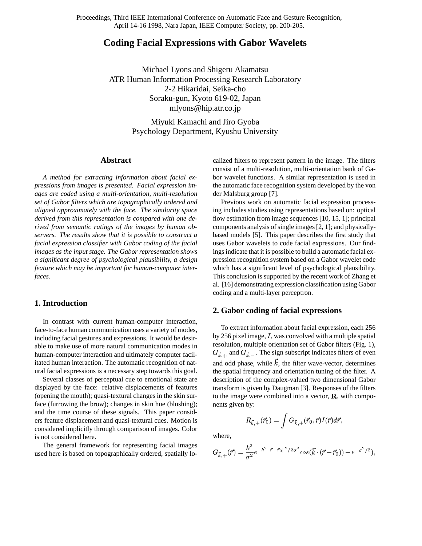Proceedings, Third IEEE International Conference on Automatic Face and Gesture Recognition, April 14-16 1998, Nara Japan, IEEE Computer Society, pp. 200-205.

# **Coding Facial Expressions with Gabor Wavelets**

Michael Lyons and Shigeru Akamatsu ATR Human Information Processing Research Laboratory 2-2 Hikaridai, Seika-cho Soraku-gun, Kyoto 619-02, Japan mlyons@hip.atr.co.jp

> Miyuki Kamachi and Jiro Gyoba Psychology Department, Kyushu University

# **Abstract**

*A method for extracting information about facial expressions from images is presented. Facial expression images are coded using a multi-orientation, multi-resolution set of Gabor filters which are topographically ordered and aligned approximately with the face. The similarity space derived from this representation is compared with one derived from semantic ratings of the images by human observers. The results show that it is possible to construct a facial expression classifier with Gabor coding of the facial images as the input stage. The Gabor representation shows a significant degree of psychological plausibility, a design feature which may be important for human-computer interfaces.*

# **1. Introduction**

In contrast with current human-computer interaction, face-to-face human communication uses a variety of modes, including facial gestures and expressions. It would be desirable to make use of more natural communication modes in human-computer interaction and ultimately computer facilitated human interaction. The automatic recognition of natural facial expressions is a necessary step towards this goal.

Several classes of perceptual cue to emotional state are displayed by the face: relative displacements of features (opening the mouth); quasi-textural changes in the skin surface (furrowing the brow); changes in skin hue (blushing); and the time course of these signals. This paper considers feature displacement and quasi-textural cues. Motion is considered implicitly through comparison of images. Color is not considered here.

The general framework for representing facial images used here is based on topographically ordered, spatially localized filters to represent pattern in the image. The filters consist of a multi-resolution, multi-orientation bank of Gabor wavelet functions. A similar representation is used in the automatic face recognition system developed by the von der Malsburg group [7].

Previous work on automatic facial expression processing includes studies using representations based on: optical flow estimation from image sequences [10, 15, 1]; principal components analysis of single images  $[2, 1]$ ; and physicallybased models [5]. This paper describes the first study that uses Gabor wavelets to code facial expressions. Our findings indicate that it is possible to build a automatic facial expression recognition system based on a Gabor wavelet code which has a significant level of psychological plausibility. This conclusion is supported by the recent work of Zhang et al. [16] demonstrating expression classification using Gabor coding and a multi-layer perceptron.

# **2. Gabor coding of facial expressions**

To extract information about facial expression, each 256 by 256 pixel image,  $I$ , was convolved with a multiple spatial resolution, multiple orientation set of Gabor filters (Fig. 1),  $G_{\vec{k}+}$  and  $G_{\vec{k}+}$ . The sign subscript indicates filters of even and odd phase, while  $\vec{k}$ , the filter wave-vector, determines the spatial frequency and orientation tuning of the filter. A description of the complex-valued two dimensional Gabor transform is given by Daugman [3]. Responses of the filters to the image were combined into a vector,  $\bf R$ , with components given by:

 $B = (\vec{r}_0) = -1 G$  +  $(\vec{r}_0, \vec{r}) I(\vec{r}) d\vec{r}$ 

where,

$$
G_{\vec k,+}(\vec r) = \frac{k^2}{\sigma^2} e^{-k^2 \|\vec r - \vec r_0\|^2/2\sigma^2} cos(\vec k \cdot (\vec r - \vec r_0)) - e^{-\sigma^2/2}),
$$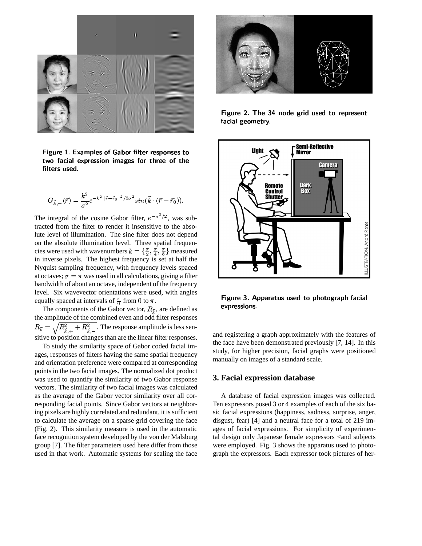

Figure 1. Examples of Gabor filter responses to two facial expression images for three of the filters used.

$$
G_{\vec{k},-}(\vec{r}) = \frac{k^2}{\sigma^2} e^{-k^2 \|\vec{r} - \vec{r}_0\|^2/2\sigma^2} sin(\vec{k} \cdot (\vec{r} - \vec{r}_0)).
$$

The integral of the cosine Gabor filter,  $e^{-\sigma^2/2}$ , was subtracted from the filter to render it insensitive to the absolute level of illumination. The sine filter does not depend on the absolute illumination level. Three spatial frequencies were used with wavenumbers  $k = \{\frac{\pi}{2}, \frac{\pi}{4}, \frac{\pi}{8}\}\$  measured in inverse pixels. The highest frequency is set at half the Nyquist sampling frequency, with frequency levels spaced at octaves;  $\sigma = \pi$  was used in all calculations, giving a filter bandwidth of about an octave, independent of the frequency level. Six wavevector orientations were used, with angles equally spaced at intervals of  $\frac{\pi}{6}$  from 0 to  $\pi$ .

The components of the Gabor vector,  $R_{\vec{k}}$ , are defined as the amplitude of the combined even and odd filter responses  $R_{\vec{k}} = \sqrt{R_{\vec{k}}^2 + R_{\vec{k}}^2}$ . The response amplitude is less sensitive to position changes than are the linear filter responses.

To study the similarity space of Gabor coded facial images, responses of filters having the same spatial frequency and orientation preference were compared at corresponding points in the two facial images. The normalized dot product was used to quantify the similarity of two Gabor response vectors. The similarity of two facial images was calculated as the average of the Gabor vector similarity over all corresponding facial points. Since Gabor vectors at neighboring pixels are highly correlated and redundant, it is sufficient to calculate the average on a sparse grid covering the face (Fig. 2). This similarity measure is used in the automatic face recognition system developed by the von der Malsburg group [7]. The filter parameters used here differ from those used in that work. Automatic systems for scaling the face



Figure 2. The 34 node grid used to represent facial geometry.



Figure 3. Apparatus used to photograph facial expressions.

and registering a graph approximately with the features of the face have been demonstrated previously [7, 14]. In this study, for higher precision, facial graphs were positioned manually on images of a standard scale.

#### **3. Facial expression database**

A database of facial expression images was collected. Ten expressors posed 3 or 4 examples of each of the six basic facial expressions (happiness, sadness, surprise, anger, disgust, fear) [4] and a neutral face for a total of 219 images of facial expressions. For simplicity of experimental design only Japanese female expressors <and subjects were employed. Fig. 3 shows the apparatus used to photograph the expressors. Each expressor took pictures of her-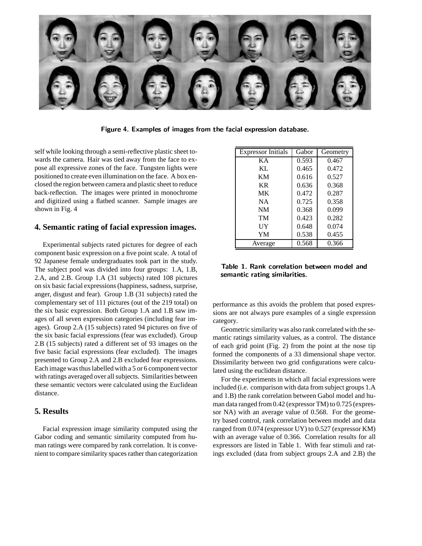

Figure 4. Examples of images from the facial expression database.

self while looking through a semi-reflective plastic sheet towards the camera. Hair was tied away from the face to expose all expressive zones of the face. Tungsten lights were positioned to create even illumination on the face. A box enclosed the region between camera and plastic sheet to reduce back-reflection. The images were printed in monochrome and digitized using a flatbed scanner. Sample images are shown in Fig. 4

# **4. Semantic rating of facial expression images.**

Experimental subjects rated pictures for degree of each component basic expression on a five point scale. A total of 92 Japanese female undergraduates took part in the study. The subject pool was divided into four groups: 1.A, 1.B, 2.A, and 2.B. Group 1.A (31 subjects) rated 108 pictures on six basic facial expressions (happiness, sadness, surprise, anger, disgust and fear). Group 1.B (31 subjects) rated the complementary set of 111 pictures (out of the 219 total) on the six basic expression. Both Group 1.A and 1.B saw images of all seven expression categories (including fear images). Group 2.A (15 subjects) rated 94 pictures on five of the six basic facial expressions (fear was excluded). Group 2.B (15 subjects) rated a different set of 93 images on the five basic facial expressions (fear excluded). The images presented to Group 2.A and 2.B excluded fear expressions. Each image was thus labelled with a 5 or 6 component vector with ratings averaged over all subjects. Similarities between these semantic vectors were calculated using the Euclidean distance.

# **5. Results**

Facial expression image similarity computed using the Gabor coding and semantic similarity computed from human ratings were compared by rank correlation. It is convenient to compare similarity spaces rather than categorization

| <b>Expressor Initials</b> | Gabor | Geometry |
|---------------------------|-------|----------|
| <b>KA</b>                 | 0.593 | 0.467    |
| KL                        | 0.465 | 0.472    |
| KM                        | 0.616 | 0.527    |
| <b>KR</b>                 | 0.636 | 0.368    |
| MK                        | 0.472 | 0.287    |
| <b>NA</b>                 | 0.725 | 0.358    |
| <b>NM</b>                 | 0.368 | 0.099    |
| TM                        | 0.423 | 0.282    |
| UY                        | 0.648 | 0.074    |
| YM                        | 0.538 | 0.455    |
| Average                   | 0.568 | 0.366    |

Table 1. Rank correlation between model and semantic rating similarities.

performance as this avoids the problem that posed expressions are not always pure examples of a single expression category.

Geometric similarity was also rank correlated with the semantic ratings similarity values, as a control. The distance of each grid point (Fig. 2) from the point at the nose tip formed the components of a 33 dimensional shape vector. Dissimilarity between two grid configurations were calculated using the euclidean distance.

For the experiments in which all facial expressions were included (i.e. comparison with data from subject groups 1.A and 1.B) the rank correlation between Gabol model and human data ranged from 0.42 (expressor TM) to 0.725 (expressor NA) with an average value of 0.568. For the geometry based control, rank correlation between model and data ranged from 0.074 (expressor UY) to 0.527 (expressor KM) with an average value of 0.366. Correlation results for all expressors are listed in Table 1. With fear stimuli and ratings excluded (data from subject groups 2.A and 2.B) the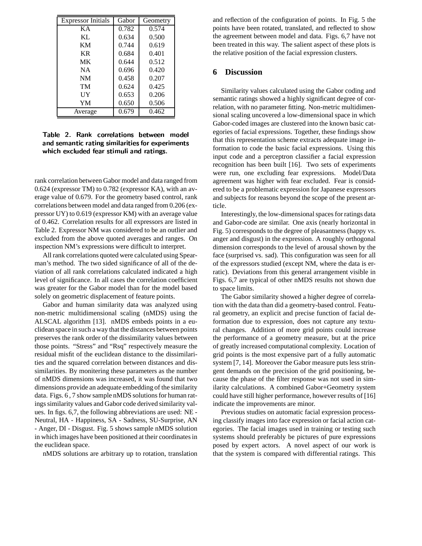| <b>Expressor Initials</b> | Gabor | Geometry |
|---------------------------|-------|----------|
| KА                        | 0.782 | 0.574    |
| KL.                       | 0.634 | 0.500    |
| KМ                        | 0.744 | 0.619    |
| KR.                       | 0.684 | 0.401    |
| MK                        | 0.644 | 0.512    |
| <b>NA</b>                 | 0.696 | 0.420    |
| <b>NM</b>                 | 0.458 | 0.207    |
| TM                        | 0.624 | 0.425    |
| UY                        | 0.653 | 0.206    |
| YM                        | 0.650 | 0.506    |
| Average                   | 0.679 | 0.462    |

Table 2. Rank correlations between model and semantic rating similarities for experiments which excluded fear stimuli and ratings.

rank correlation between Gabor model and data ranged from 0.624 (expressor TM) to 0.782 (expressor KA), with an average value of 0.679. For the geometry based control, rank correlations between model and data ranged from 0.206 (expressor UY) to 0.619 (expressor KM) with an average value of 0.462. Correlation results for all expressors are listed in Table 2. Expressor NM was considered to be an outlier and excluded from the above quoted averages and ranges. On inspection NM's expressions were difficult to interpret.

All rank correlations quoted were calculated using Spearman's method. The two sided significance of all of the deviation of all rank correlations calculated indicated a high level of significance. In all cases the correlation coefficient was greater for the Gabor model than for the model based solely on geometric displacement of feature points.

Gabor and human similarity data was analyzed using non-metric multidimensional scaling (nMDS) using the ALSCAL algorithm [13]. nMDS embeds points in a euclidean space in such a way that the distances between points preserves the rank order of the dissimilarity values between those points. "Stress" and "Rsq" respectively measure the residual misfit of the euclidean distance to the dissimilarities and the squared correlation between distances and dissimilarities. By monitering these parameters as the number of nMDS dimensions was increased, it was found that two dimensions provide an adequate embedding of the similarity data. Figs. 6, 7 show sample nMDS solutions for human ratings similarity values and Gabor code derived similarity values. In figs. 6,7, the following abbreviations are used: NE - Neutral, HA - Happiness, SA - Sadness, SU-Surprise, AN - Anger, DI - Disgust. Fig. 5 shows sample nMDS solution in which images have been positioned at their coordinates in the euclidean space.

nMDS solutions are arbitrary up to rotation, translation

and reflection of the configuration of points. In Fig. 5 the points have been rotated, translated, and reflected to show the agreement between model and data. Figs. 6,7 have not been treated in this way. The salient aspect of these plots is the relative position of the facial expression clusters.

# **6 Discussion**

Similarity values calculated using the Gabor coding and semantic ratings showed a highly significant degree of correlation, with no parameter fitting. Non-metric multidimensional scaling uncovered a low-dimensional space in which Gabor-coded images are clustered into the known basic categories of facial expressions. Together, these findings show that this representation scheme extracts adequate image information to code the basic facial expressions. Using this input code and a perceptron classifier a facial expression recognition has been built [16]. Two sets of experiments were run, one excluding fear expressions. Model/Data agreement was higher with fear excluded. Fear is considered to be a problematic expression for Japanese expressors and subjects for reasons beyond the scope of the present article.

Interestingly, the low-dimensional spaces for ratings data and Gabor-code are similar. One axis (nearly horizontal in Fig. 5) corresponds to the degree of pleasantness (happy vs. anger and disgust) in the expression. A roughly orthogonal dimension corresponds to the level of arousal shown by the face (surprised vs. sad). This configuration was seen for all of the expressors studied (except NM, where the data is erratic). Deviations from this general arrangement visible in Figs. 6,7 are typical of other nMDS results not shown due to space limits.

The Gabor similarity showed a higher degree of correlation with the data than did a geometry-based control. Featural geometry, an explicit and precise function of facial deformation due to expression, does not capture any textural changes. Addition of more grid points could increase the performance of a geometry measure, but at the price of greatly increased computational complexity. Location of grid points is the most expensive part of a fully automatic system [7, 14]. Moreover the Gabor measure puts less stringent demands on the precision of the grid positioning, because the phase of the filter response was not used in similarity calculations. A combined Gabor+Geometry system could have still higher performance, however results of [16] indicate the improvements are minor.

Previous studies on automatic facial expression processing classify images into face expression or facial action categories. The facial images used in training or testing such systems should preferably be pictures of pure expressions posed by expert actors. A novel aspect of our work is that the system is compared with differential ratings. This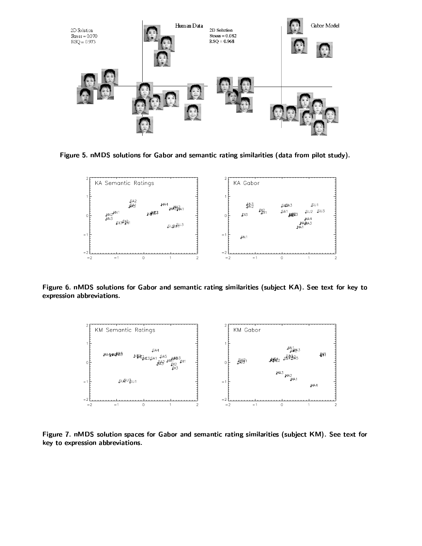

Figure 5. nMDS solutions for Gabor and semantic rating similarities (data from pilot study).



Figure 6. nMDS solutions for Gabor and semantic rating similarities (subject KA). See text for key to expression abbreviations.



Figure 7. nMDS solution spaces for Gabor and semantic rating similarities (subject KM). See text for key to expression abbreviations.